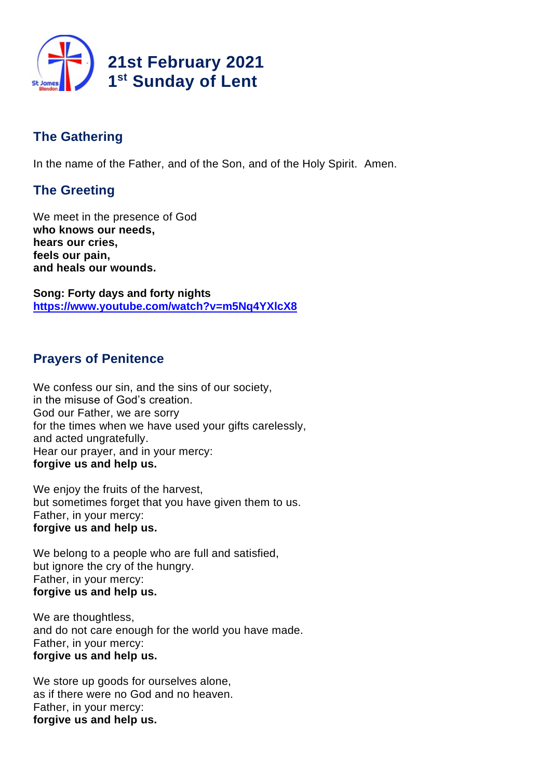

# **The Gathering**

In the name of the Father, and of the Son, and of the Holy Spirit. Amen.

# **The Greeting**

We meet in the presence of God **who knows our needs, hears our cries, feels our pain, and heals our wounds.**

**Song: Forty days and forty nights <https://www.youtube.com/watch?v=m5Nq4YXlcX8>**

# **Prayers of Penitence**

We confess our sin, and the sins of our society, in the misuse of God's creation. God our Father, we are sorry for the times when we have used your gifts carelessly. and acted ungratefully. Hear our prayer, and in your mercy: **forgive us and help us.**

We enjoy the fruits of the harvest, but sometimes forget that you have given them to us. Father, in your mercy: **forgive us and help us.**

We belong to a people who are full and satisfied, but ignore the cry of the hungry. Father, in your mercy: **forgive us and help us.**

We are thoughtless, and do not care enough for the world you have made. Father, in your mercy: **forgive us and help us.**

We store up goods for ourselves alone, as if there were no God and no heaven. Father, in your mercy: **forgive us and help us.**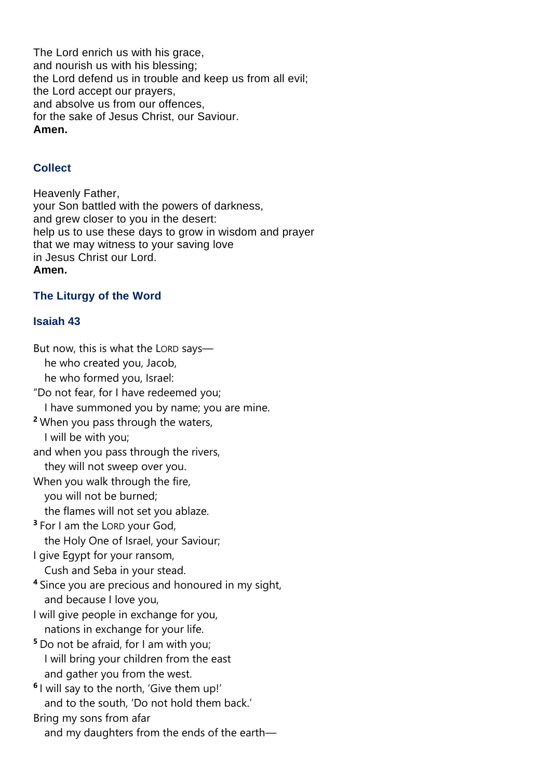The Lord enrich us with his grace, and nourish us with his blessing; the Lord defend us in trouble and keep us from all evil; the Lord accept our prayers, and absolve us from our offences, for the sake of Jesus Christ, our Saviour. **Amen.**

## **Collect**

Heavenly Father, your Son battled with the powers of darkness, and grew closer to you in the desert: help us to use these days to grow in wisdom and prayer that we may witness to your saving love in Jesus Christ our Lord. **Amen.**

## **The Liturgy of the Word**

## **Isaiah 43**

But now, this is what the LORD says he who created you, Jacob, he who formed you, Israel: "Do not fear, for I have redeemed you; I have summoned you by name; you are mine. **<sup>2</sup>** When you pass through the waters, I will be with you; and when you pass through the rivers, they will not sweep over you. When you walk through the fire, you will not be burned; the flames will not set you ablaze. **3** For I am the LORD your God, the Holy One of Israel, your Saviour; I give Egypt for your ransom, Cush and Seba in your stead. **<sup>4</sup>** Since you are precious and honoured in my sight, and because I love you, I will give people in exchange for you, nations in exchange for your life. **<sup>5</sup>** Do not be afraid, for I am with you; I will bring your children from the east and gather you from the west. **6** I will say to the north, 'Give them up!' and to the south, 'Do not hold them back.' Bring my sons from afar and my daughters from the ends of the earth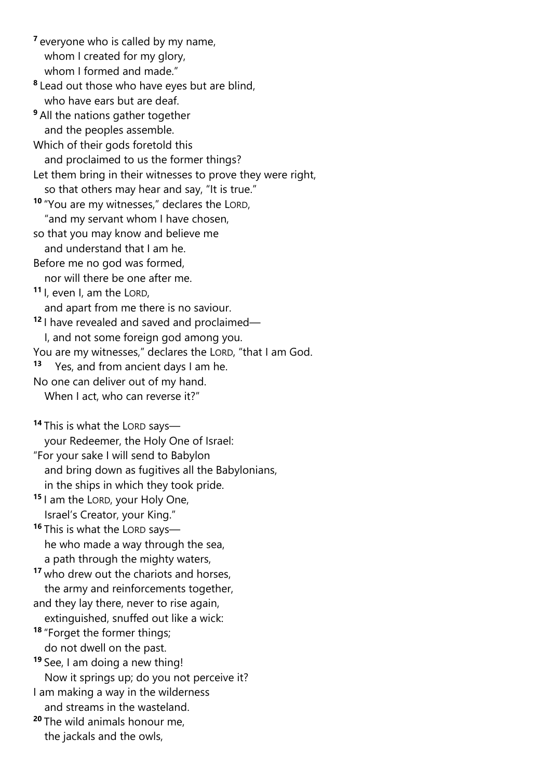**<sup>7</sup>** everyone who is called by my name, whom I created for my glory, whom I formed and made."

**8** Lead out those who have eyes but are blind, who have ears but are deaf.

**<sup>9</sup>** All the nations gather together and the peoples assemble.

Which of their gods foretold this and proclaimed to us the former things? Let them bring in their witnesses to prove they were right,

so that others may hear and say, "It is true."

- **<sup>10</sup>** "You are my witnesses," declares the LORD, "and my servant whom I have chosen,
- so that you may know and believe me and understand that I am he.

Before me no god was formed,

nor will there be one after me.

**<sup>11</sup>** I, even I, am the LORD,

and apart from me there is no saviour.

**<sup>12</sup>** I have revealed and saved and proclaimed—

I, and not some foreign god among you.

You are my witnesses," declares the LORD, "that I am God.

- **13** Yes, and from ancient days I am he.
- No one can deliver out of my hand.

When I act, who can reverse it?"

**<sup>14</sup>** This is what the LORD says—

your Redeemer, the Holy One of Israel:

"For your sake I will send to Babylon and bring down as fugitives all the Babylonians, in the ships in which they took pride.

**<sup>15</sup>** I am the LORD, your Holy One, Israel's Creator, your King."

**<sup>16</sup>** This is what the LORD says he who made a way through the sea, a path through the mighty waters,

**<sup>17</sup>** who drew out the chariots and horses, the army and reinforcements together,

- and they lay there, never to rise again,
- extinguished, snuffed out like a wick:

**<sup>18</sup>** "Forget the former things; do not dwell on the past.

**<sup>19</sup>** See, I am doing a new thing!

Now it springs up; do you not perceive it?

I am making a way in the wilderness and streams in the wasteland.

**<sup>20</sup>** The wild animals honour me, the jackals and the owls,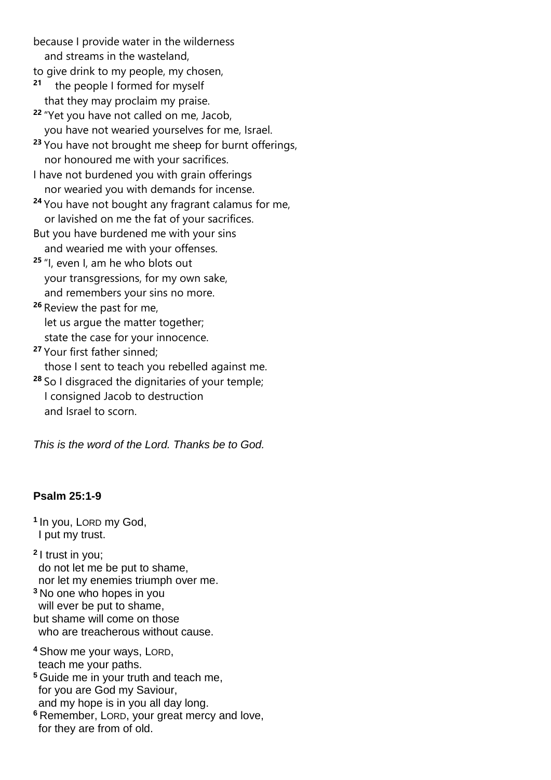because I provide water in the wilderness and streams in the wasteland,

to give drink to my people, my chosen,

- **21** the people I formed for myself that they may proclaim my praise.
- **<sup>22</sup>** "Yet you have not called on me, Jacob, you have not wearied yourselves for me, Israel.
- **<sup>23</sup>** You have not brought me sheep for burnt offerings, nor honoured me with your sacrifices.
- I have not burdened you with grain offerings nor wearied you with demands for incense.
- **<sup>24</sup>** You have not bought any fragrant calamus for me, or lavished on me the fat of your sacrifices.
- But you have burdened me with your sins and wearied me with your offenses.
- **<sup>25</sup>** "I, even I, am he who blots out your transgressions, for my own sake, and remembers your sins no more.
- **<sup>26</sup>** Review the past for me, let us argue the matter together; state the case for your innocence.
- **<sup>27</sup>** Your first father sinned; those I sent to teach you rebelled against me.
- **<sup>28</sup>** So I disgraced the dignitaries of your temple; I consigned Jacob to destruction and Israel to scorn.

*This is the word of the Lord. Thanks be to God.*

# **Psalm 25:1-9**

**1** In you, LORD my God, I put my trust.

**2** I trust in you; do not let me be put to shame, nor let my enemies triumph over me. **<sup>3</sup>** No one who hopes in you will ever be put to shame, but shame will come on those who are treacherous without cause.

- **<sup>4</sup>** Show me your ways, LORD, teach me your paths.
- **<sup>5</sup>** Guide me in your truth and teach me, for you are God my Saviour, and my hope is in you all day long.
- **<sup>6</sup>** Remember, LORD, your great mercy and love, for they are from of old.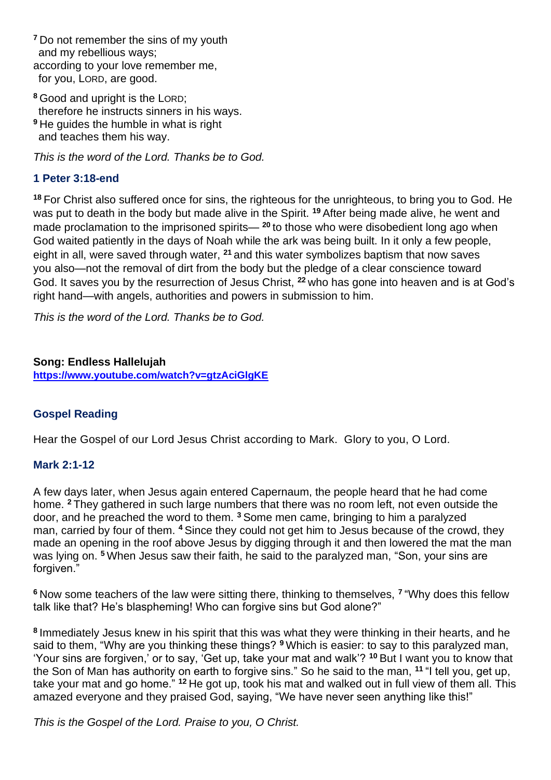**<sup>7</sup>** Do not remember the sins of my youth and my rebellious ways; according to your love remember me, for you, LORD, are good.

**<sup>8</sup>** Good and upright is the LORD; therefore he instructs sinners in his ways. **<sup>9</sup>** He guides the humble in what is right and teaches them his way.

*This is the word of the Lord. Thanks be to God.*

### **1 Peter 3:18-end**

**<sup>18</sup>** For Christ also suffered once for sins, the righteous for the unrighteous, to bring you to God. He was put to death in the body but made alive in the Spirit. **<sup>19</sup>** After being made alive, he went and made proclamation to the imprisoned spirits— **<sup>20</sup>** to those who were disobedient long ago when God waited patiently in the days of Noah while the ark was being built. In it only a few people, eight in all, were saved through water, **<sup>21</sup>** and this water symbolizes baptism that now saves you also—not the removal of dirt from the body but the pledge of a clear conscience toward God. It saves you by the resurrection of Jesus Christ, **<sup>22</sup>** who has gone into heaven and is at God's right hand—with angels, authorities and powers in submission to him.

*This is the word of the Lord. Thanks be to God.* 

**Song: Endless Hallelujah <https://www.youtube.com/watch?v=gtzAciGlgKE>**

#### **Gospel Reading**

Hear the Gospel of our Lord Jesus Christ according to Mark. Glory to you, O Lord.

#### **Mark 2:1-12**

A few days later, when Jesus again entered Capernaum, the people heard that he had come home. **<sup>2</sup>** They gathered in such large numbers that there was no room left, not even outside the door, and he preached the word to them. **<sup>3</sup>** Some men came, bringing to him a paralyzed man, carried by four of them. **<sup>4</sup>** Since they could not get him to Jesus because of the crowd, they made an opening in the roof above Jesus by digging through it and then lowered the mat the man was lying on. **<sup>5</sup>** When Jesus saw their faith, he said to the paralyzed man, "Son, your sins are forgiven."

**<sup>6</sup>** Now some teachers of the law were sitting there, thinking to themselves, **<sup>7</sup>** "Why does this fellow talk like that? He's blaspheming! Who can forgive sins but God alone?"

**8** Immediately Jesus knew in his spirit that this was what they were thinking in their hearts, and he said to them, "Why are you thinking these things? **<sup>9</sup>** Which is easier: to say to this paralyzed man, 'Your sins are forgiven,' or to say, 'Get up, take your mat and walk'? **<sup>10</sup>** But I want you to know that the Son of Man has authority on earth to forgive sins." So he said to the man, **<sup>11</sup>** "I tell you, get up, take your mat and go home." **<sup>12</sup>** He got up, took his mat and walked out in full view of them all. This amazed everyone and they praised God, saying, "We have never seen anything like this!"

*This is the Gospel of the Lord. Praise to you, O Christ.*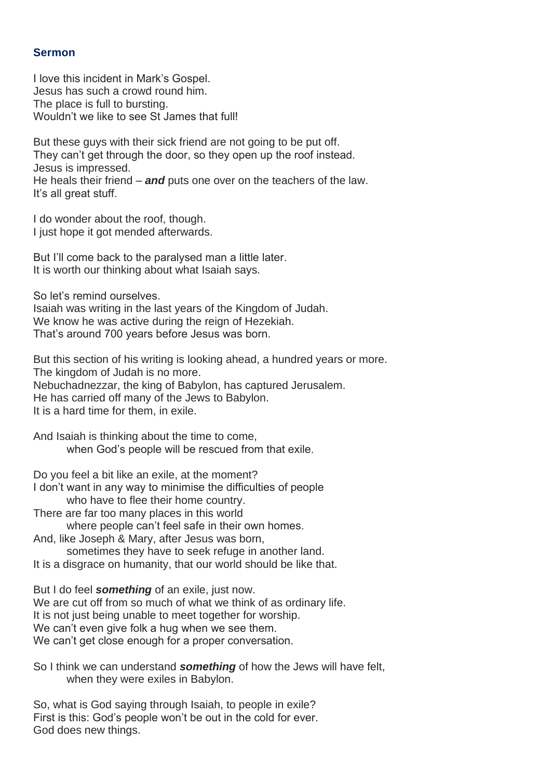#### **Sermon**

I love this incident in Mark's Gospel. Jesus has such a crowd round him. The place is full to bursting. Wouldn't we like to see St James that full!

But these guys with their sick friend are not going to be put off. They can't get through the door, so they open up the roof instead. Jesus is impressed. He heals their friend – *and* puts one over on the teachers of the law. It's all great stuff.

I do wonder about the roof, though. I just hope it got mended afterwards.

But I'll come back to the paralysed man a little later. It is worth our thinking about what Isaiah says.

So let's remind ourselves.

Isaiah was writing in the last years of the Kingdom of Judah. We know he was active during the reign of Hezekiah. That's around 700 years before Jesus was born.

But this section of his writing is looking ahead, a hundred years or more. The kingdom of Judah is no more. Nebuchadnezzar, the king of Babylon, has captured Jerusalem. He has carried off many of the Jews to Babylon. It is a hard time for them, in exile.

And Isaiah is thinking about the time to come, when God's people will be rescued from that exile.

Do you feel a bit like an exile, at the moment? I don't want in any way to minimise the difficulties of people who have to flee their home country.

There are far too many places in this world

where people can't feel safe in their own homes. And, like Joseph & Mary, after Jesus was born,

sometimes they have to seek refuge in another land. It is a disgrace on humanity, that our world should be like that.

But I do feel *something* of an exile, just now. We are cut off from so much of what we think of as ordinary life. It is not just being unable to meet together for worship. We can't even give folk a hug when we see them. We can't get close enough for a proper conversation.

So I think we can understand *something* of how the Jews will have felt, when they were exiles in Babylon.

So, what is God saying through Isaiah, to people in exile? First is this: God's people won't be out in the cold for ever. God does new things.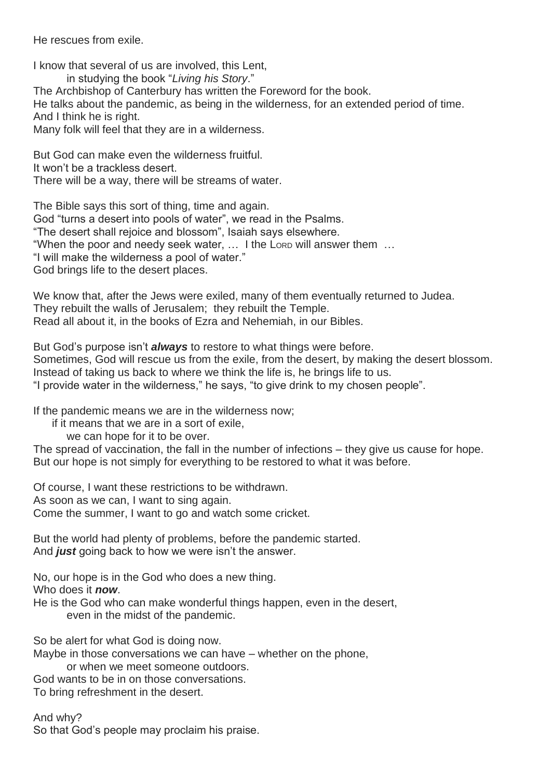He rescues from exile.

I know that several of us are involved, this Lent, in studying the book "*Living his Story*." The Archbishop of Canterbury has written the Foreword for the book. He talks about the pandemic, as being in the wilderness, for an extended period of time. And I think he is right. Many folk will feel that they are in a wilderness.

But God can make even the wilderness fruitful. It won't be a trackless desert. There will be a way, there will be streams of water.

The Bible says this sort of thing, time and again. God "turns a desert into pools of water", we read in the Psalms. "The desert shall rejoice and blossom", Isaiah says elsewhere. "When the poor and needy seek water, … I the LORD will answer them … "I will make the wilderness a pool of water." God brings life to the desert places.

We know that, after the Jews were exiled, many of them eventually returned to Judea. They rebuilt the walls of Jerusalem; they rebuilt the Temple. Read all about it, in the books of Ezra and Nehemiah, in our Bibles.

But God's purpose isn't *always* to restore to what things were before. Sometimes, God will rescue us from the exile, from the desert, by making the desert blossom. Instead of taking us back to where we think the life is, he brings life to us. "I provide water in the wilderness," he says, "to give drink to my chosen people".

If the pandemic means we are in the wilderness now;

if it means that we are in a sort of exile,

we can hope for it to be over.

The spread of vaccination, the fall in the number of infections – they give us cause for hope. But our hope is not simply for everything to be restored to what it was before.

Of course, I want these restrictions to be withdrawn. As soon as we can, I want to sing again. Come the summer, I want to go and watch some cricket.

But the world had plenty of problems, before the pandemic started. And *just* going back to how we were isn't the answer.

No, our hope is in the God who does a new thing. Who does it *now*.

He is the God who can make wonderful things happen, even in the desert,

even in the midst of the pandemic.

So be alert for what God is doing now.

Maybe in those conversations we can have – whether on the phone,

or when we meet someone outdoors.

God wants to be in on those conversations.

To bring refreshment in the desert.

And why? So that God's people may proclaim his praise.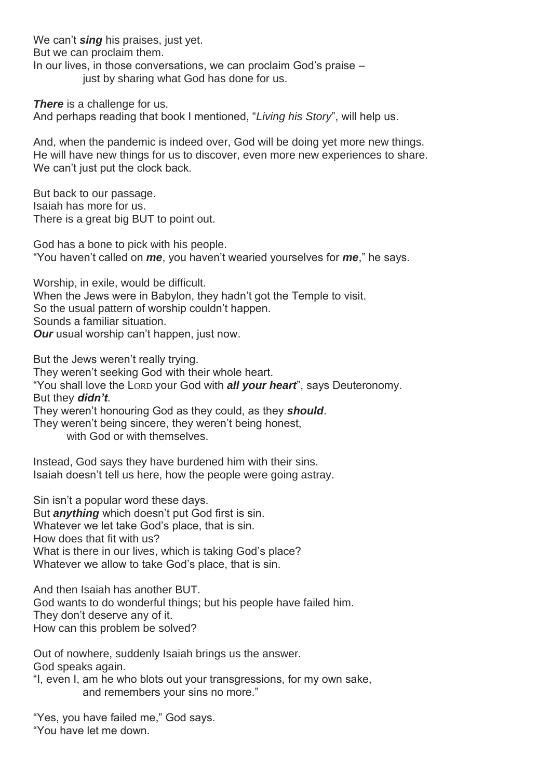We can't **sing** his praises, just yet. But we can proclaim them. In our lives, in those conversations, we can proclaim God's praise – just by sharing what God has done for us.

*There* is a challenge for us. And perhaps reading that book I mentioned, "*Living his Story*", will help us.

And, when the pandemic is indeed over, God will be doing yet more new things. He will have new things for us to discover, even more new experiences to share. We can't just put the clock back.

But back to our passage. Isaiah has more for us. There is a great big BUT to point out.

God has a bone to pick with his people. "You haven't called on *me*, you haven't wearied yourselves for *me*," he says.

Worship, in exile, would be difficult. When the Jews were in Babylon, they hadn't got the Temple to visit. So the usual pattern of worship couldn't happen. Sounds a familiar situation. *Our* usual worship can't happen, just now.

But the Jews weren't really trying.

They weren't seeking God with their whole heart.

"You shall love the LORD your God with *all your heart*", says Deuteronomy. But they *didn't*.

They weren't honouring God as they could, as they *should*.

They weren't being sincere, they weren't being honest,

with God or with themselves.

Instead, God says they have burdened him with their sins. Isaiah doesn't tell us here, how the people were going astray.

Sin isn't a popular word these days. But *anything* which doesn't put God first is sin. Whatever we let take God's place, that is sin. How does that fit with us? What is there in our lives, which is taking God's place? Whatever we allow to take God's place, that is sin.

And then Isaiah has another BUT. God wants to do wonderful things; but his people have failed him. They don't deserve any of it. How can this problem be solved?

Out of nowhere, suddenly Isaiah brings us the answer. God speaks again.

"I, even I, am he who blots out your transgressions, for my own sake, and remembers your sins no more."

"Yes, you have failed me," God says. "You have let me down.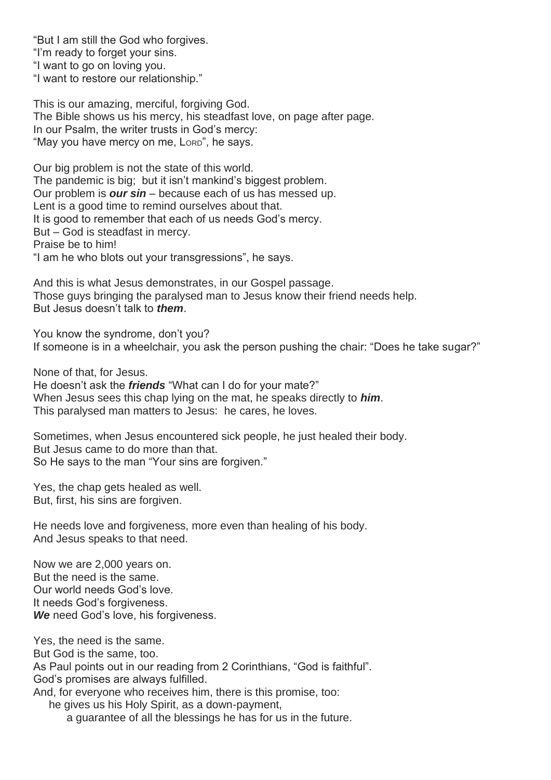"But I am still the God who forgives. "I'm ready to forget your sins. "I want to go on loving you. "I want to restore our relationship."

This is our amazing, merciful, forgiving God. The Bible shows us his mercy, his steadfast love, on page after page. In our Psalm, the writer trusts in God's mercy: "May you have mercy on me, LORD", he says.

Our big problem is not the state of this world. The pandemic is big; but it isn't mankind's biggest problem. Our problem is *our sin* – because each of us has messed up. Lent is a good time to remind ourselves about that. It is good to remember that each of us needs God's mercy. But – God is steadfast in mercy. Praise be to him! "I am he who blots out your transgressions", he says.

And this is what Jesus demonstrates, in our Gospel passage. Those guys bringing the paralysed man to Jesus know their friend needs help. But Jesus doesn't talk to *them*.

You know the syndrome, don't you? If someone is in a wheelchair, you ask the person pushing the chair: "Does he take sugar?"

None of that, for Jesus.

He doesn't ask the *friends* "What can I do for your mate?" When Jesus sees this chap lying on the mat, he speaks directly to *him*. This paralysed man matters to Jesus: he cares, he loves.

Sometimes, when Jesus encountered sick people, he just healed their body. But Jesus came to do more than that. So He says to the man "Your sins are forgiven."

Yes, the chap gets healed as well. But, first, his sins are forgiven.

He needs love and forgiveness, more even than healing of his body. And Jesus speaks to that need.

Now we are 2,000 years on. But the need is the same. Our world needs God's love. It needs God's forgiveness. *We* need God's love, his forgiveness.

Yes, the need is the same. But God is the same, too. As Paul points out in our reading from 2 Corinthians, "God is faithful". God's promises are always fulfilled. And, for everyone who receives him, there is this promise, too: he gives us his Holy Spirit, as a down-payment, a guarantee of all the blessings he has for us in the future.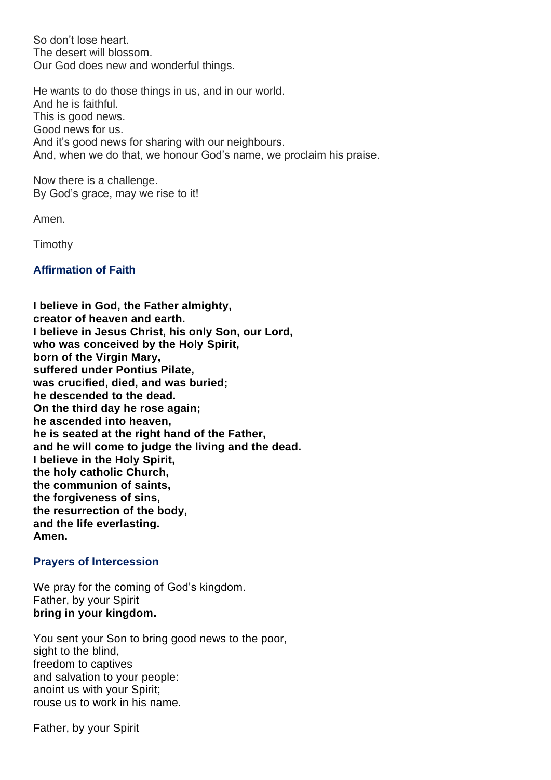So don't lose heart. The desert will blossom. Our God does new and wonderful things.

He wants to do those things in us, and in our world. And he is faithful. This is good news. Good news for us. And it's good news for sharing with our neighbours. And, when we do that, we honour God's name, we proclaim his praise.

Now there is a challenge. By God's grace, may we rise to it!

Amen.

Timothy

#### **Affirmation of Faith**

**I believe in God, the Father almighty, creator of heaven and earth. I believe in Jesus Christ, his only Son, our Lord, who was conceived by the Holy Spirit, born of the Virgin Mary, suffered under Pontius Pilate, was crucified, died, and was buried; he descended to the dead. On the third day he rose again; he ascended into heaven, he is seated at the right hand of the Father, and he will come to judge the living and the dead. I believe in the Holy Spirit, the holy catholic Church, the communion of saints, the forgiveness of sins, the resurrection of the body, and the life everlasting. Amen.**

#### **Prayers of Intercession**

We pray for the coming of God's kingdom. Father, by your Spirit **bring in your kingdom.**

You sent your Son to bring good news to the poor, sight to the blind, freedom to captives and salvation to your people: anoint us with your Spirit; rouse us to work in his name.

Father, by your Spirit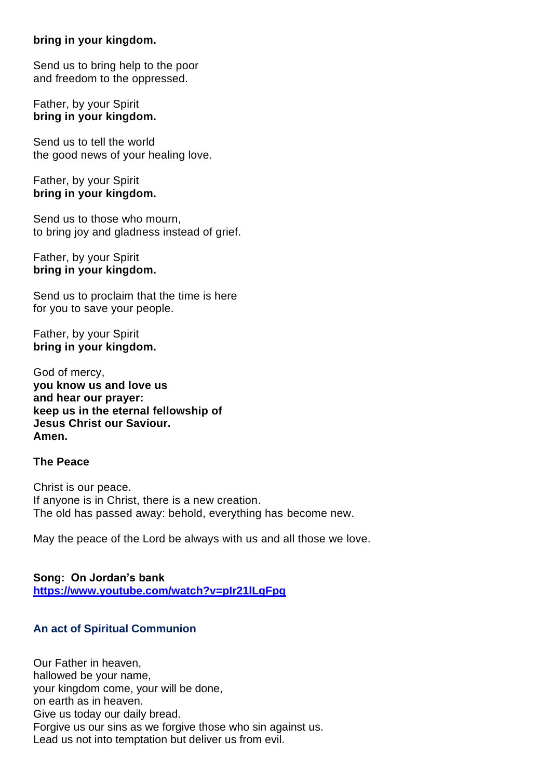#### **bring in your kingdom.**

Send us to bring help to the poor and freedom to the oppressed.

Father, by your Spirit **bring in your kingdom.**

Send us to tell the world the good news of your healing love.

Father, by your Spirit **bring in your kingdom.**

Send us to those who mourn, to bring joy and gladness instead of grief.

Father, by your Spirit **bring in your kingdom.**

Send us to proclaim that the time is here for you to save your people.

Father, by your Spirit **bring in your kingdom.**

God of mercy, **you know us and love us and hear our prayer: keep us in the eternal fellowship of Jesus Christ our Saviour. Amen.**

#### **The Peace**

Christ is our peace. If anyone is in Christ, there is a new creation. The old has passed away: behold, everything has become new.

May the peace of the Lord be always with us and all those we love.

**Song: On Jordan's bank <https://www.youtube.com/watch?v=pIr21lLgFpg>**

#### **An act of Spiritual Communion**

Our Father in heaven, hallowed be your name, your kingdom come, your will be done, on earth as in heaven. Give us today our daily bread. Forgive us our sins as we forgive those who sin against us. Lead us not into temptation but deliver us from evil.